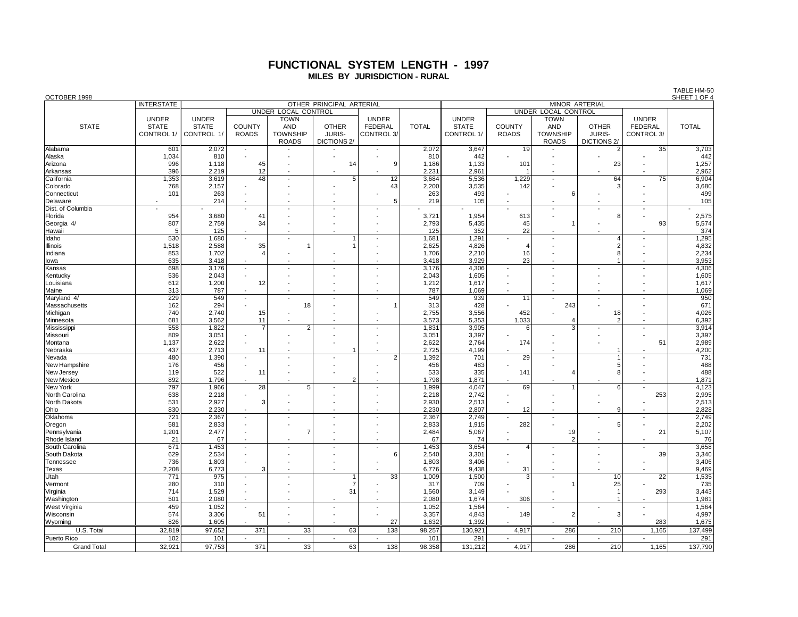### **FUNCTIONAL SYSTEM LENGTH - 1997 MILES BY JURISDICTION - RURAL**

| OCTOBER 1998<br>SHEET 1 OF 4 |                   |                                                                                          |                          |                          |                          |                |              |              |                          |                          |                |                 |              |
|------------------------------|-------------------|------------------------------------------------------------------------------------------|--------------------------|--------------------------|--------------------------|----------------|--------------|--------------|--------------------------|--------------------------|----------------|-----------------|--------------|
|                              | <b>INTERSTATE</b> | OTHER PRINCIPAL ARTERIAL<br>MINOR ARTERIAL<br>UNDER LOCAL CONTROL<br>UNDER LOCAL CONTROL |                          |                          |                          |                |              |              |                          |                          |                |                 |              |
|                              |                   |                                                                                          |                          |                          |                          |                |              |              |                          |                          |                |                 |              |
|                              | <b>UNDER</b>      | <b>UNDER</b>                                                                             |                          | <b>TOWN</b>              |                          | <b>UNDER</b>   |              | <b>UNDER</b> |                          | <b>TOWN</b>              |                | <b>UNDER</b>    |              |
| <b>STATE</b>                 | <b>STATE</b>      | <b>STATE</b>                                                                             | <b>COUNTY</b>            | <b>AND</b>               | <b>OTHER</b>             | <b>FEDERAL</b> | <b>TOTAL</b> | <b>STATE</b> | <b>COUNTY</b>            | <b>AND</b>               | <b>OTHER</b>   | <b>FEDERAL</b>  | <b>TOTAL</b> |
|                              | CONTROL 1/        | CONTROL 1/                                                                               | <b>ROADS</b>             | <b>TOWNSHIP</b>          | <b>JURIS-</b>            | CONTROL 3/     |              | CONTROL 1/   | <b>ROADS</b>             | <b>TOWNSHIP</b>          | <b>JURIS-</b>  | CONTROL 3/      |              |
|                              |                   |                                                                                          |                          | <b>ROADS</b>             | DICTIONS <sub>2</sub> /  |                |              |              |                          | <b>ROADS</b>             | DICTIONS 2/    |                 |              |
| Alabama                      | 601               | 2,072                                                                                    | $\overline{\phantom{a}}$ |                          |                          |                | 2,072        | 3,647        | 19                       |                          | $\overline{2}$ | 35              | 3,703        |
| Alaska                       | 1,034             | 810                                                                                      |                          |                          |                          |                | 810          | 442          |                          |                          |                |                 | 442          |
| Arizona                      | 996               | 1,118                                                                                    | 45                       | J.                       | 14                       | 9              | 1,186        | 1,133        | 101                      |                          | 23             |                 | 1,257        |
| Arkansas                     | 396               | 2,219                                                                                    | 12                       |                          |                          |                | 2,231        | 2,961        |                          |                          |                |                 | 2,962        |
| California                   | 1,353             | 3,619                                                                                    | 48                       |                          | 5                        | 12             | 3,684        | 5,536        | 1,229                    |                          | 64             | 75              | 6,904        |
| Colorado                     | 768               | 2,157                                                                                    |                          |                          |                          | 43             | 2,200        | 3,535        | 142                      |                          | 3              |                 | 3,680        |
| Connecticut                  | 101               | 263                                                                                      |                          |                          |                          |                | 263          | 493          |                          | 6                        |                |                 | 499          |
| Delaware                     |                   | 214                                                                                      |                          |                          |                          | 5              | 219          | 105          |                          |                          |                |                 | 105          |
| Dist. of Columbia            |                   |                                                                                          |                          |                          |                          |                |              |              | ÷,                       |                          |                |                 |              |
| Florida                      | 954               | 3,680                                                                                    | 41                       |                          |                          |                | 3,721        | 1,954        | 613                      |                          | 8              |                 | 2,575        |
| Georgia 4/                   | 807               | 2,759                                                                                    | 34                       |                          |                          |                | 2,793        | 5,435        | 45                       |                          |                | 93              | 5,574        |
| Hawaii                       | 5                 | 125                                                                                      |                          |                          |                          |                | 125          | 352          | 22                       |                          |                |                 | 374          |
| Idaho                        | 530               | 1,680                                                                                    |                          | $\overline{a}$           | 1                        |                | 1,681        | 1,291        |                          |                          | 4              |                 | 1,295        |
| Illinois                     | 1,518             | 2,588                                                                                    | 35                       |                          | 1                        |                | 2,625        | 4,826        | 4                        |                          | $\overline{2}$ |                 | 4,832        |
| Indiana                      | 853               | 1,702                                                                                    |                          |                          |                          |                | 1,706        | 2,210        | 16                       |                          | 8              |                 | 2,234        |
| lowa                         | 635               | 3,418                                                                                    |                          |                          |                          |                | 3,418        | 3,929        | 23                       |                          |                |                 | 3,953        |
| Kansas                       | 698               | 3,176                                                                                    | $\blacksquare$           |                          |                          |                | 3,176        | 4,306        | ÷,                       |                          |                |                 | 4,306        |
| Kentucky                     | 536               | 2,043                                                                                    | $\overline{\phantom{a}}$ |                          |                          |                | 2,043        | 1,605        |                          |                          |                |                 | 1,605        |
| Louisiana                    | 612               | 1,200                                                                                    | 12                       |                          |                          |                | 1,212        | 1,617        | $\overline{a}$           |                          |                |                 | 1,617        |
| Maine                        | 313               | 787                                                                                      |                          |                          |                          |                | 787          | 1,069        |                          |                          |                |                 | 1,069        |
| Maryland 4/                  | 229               | 549                                                                                      | $\blacksquare$           | $\overline{\phantom{a}}$ | $\overline{\phantom{a}}$ |                | 549          | 939          | 11                       | $\overline{\phantom{a}}$ |                |                 | 950          |
| Massachusetts                | 162               | 294                                                                                      |                          | 18                       |                          | $\overline{1}$ | 313          | 428          |                          | 243                      |                |                 | 671          |
| Michigan                     | 740               | 2,740                                                                                    | 15                       |                          |                          |                | 2,755        | 3,556        | 452                      |                          | 18             |                 | 4,026        |
| Minnesota                    | 681               | 3,562                                                                                    | 11                       |                          |                          |                | 3,573        | 5,353        | 1,033                    | $\overline{4}$           | $\overline{2}$ |                 | 6,392        |
| Mississippi                  | 558               | 1,822                                                                                    | $\overline{7}$           | 2                        |                          |                | 1,831        | 3,905        | 6                        | 3                        |                |                 | 3,914        |
| Missouri                     | 809               | 3,051                                                                                    |                          |                          |                          |                | 3,051        | 3,397        |                          |                          |                |                 | 3,397        |
| Montana                      | 1,137             | 2,622                                                                                    |                          |                          |                          |                | 2.622        | 2,764        | 174                      |                          |                | 51              | 2,989        |
| Nebraska                     | 437               | 2,713                                                                                    | 11                       | L.                       | 1                        |                | 2,725        | 4,199        | $\overline{\phantom{a}}$ |                          |                |                 | 4,200        |
| Nevada                       | 480               | 1,390                                                                                    | $\overline{a}$           |                          |                          | $\overline{2}$ | 1,392        | 701          | 29                       | $\overline{a}$           | $\mathbf{1}$   |                 | 731          |
| New Hampshire                | 176               | 456                                                                                      |                          |                          |                          |                | 456          | 483          |                          |                          | 5              |                 | 488          |
| New Jersey                   | 119               | 522                                                                                      | 11                       |                          |                          |                | 533          | 335          | 141                      | $\overline{4}$           | 8              |                 | 488          |
| New Mexico                   | 892               | 1,796                                                                                    |                          |                          | $\overline{2}$           |                | 1,798        | 1,871        |                          |                          |                |                 | 1,871        |
| New York                     | 797               | 1,966                                                                                    | $\overline{28}$          | 5                        |                          |                | 1,999        | 4,047        | 69                       |                          | 6              |                 | 4,123        |
| North Carolina               | 638               | 2,218                                                                                    |                          |                          |                          |                | 2,218        | 2,742        |                          |                          |                | 253             | 2,995        |
| North Dakota                 | 531               | 2,927                                                                                    | 3                        |                          |                          |                | 2,930        | 2,513        |                          |                          |                |                 | 2,513        |
| Ohio                         | 830               | 2,230                                                                                    |                          |                          |                          |                | 2,230        | 2,807        | 12                       |                          | 9              |                 | 2,828        |
| Oklahoma                     | 721               | 2,367                                                                                    | $\blacksquare$           |                          |                          |                | 2,367        | 2,749        | $\overline{\phantom{a}}$ | ÷,                       |                |                 | 2,749        |
| Oregon                       | 581               | 2,833                                                                                    |                          |                          |                          |                | 2,833        | 1,915        | 282                      |                          | 5              |                 | 2,202        |
| Pennsylvania                 | 1,201             | 2,477                                                                                    |                          |                          |                          |                | 2,484        | 5,067        | $\overline{\phantom{a}}$ | 19                       |                | 21              | 5,107        |
| Rhode Island                 | 21                | 67                                                                                       |                          |                          |                          |                | 67           | 74           |                          | $\overline{2}$           |                |                 | 76           |
| South Carolina               | 671               | 1,453                                                                                    | $\overline{\phantom{a}}$ |                          |                          |                | 1,453        | 3,654        | $\overline{4}$           |                          |                |                 | 3,658        |
| South Dakota                 | 629               | 2,534                                                                                    |                          |                          |                          | 6              | 2,540        | 3,301        |                          |                          |                | 39              | 3,340        |
| Tennessee                    | 736               | 1,803                                                                                    |                          |                          |                          |                | 1,803        | 3,406        |                          |                          |                |                 | 3,406        |
| Texas                        | 2.208             | 6,773                                                                                    | 3                        |                          |                          |                | 6.776        | 9,438        | 31                       |                          |                |                 | 9,469        |
| Utah                         | 771               | 975                                                                                      | $\blacksquare$           |                          | $\mathbf{1}$             | 33             | 1,009        | 1,500        | $\overline{\mathbf{3}}$  | $\overline{\phantom{a}}$ | 10             | $\overline{22}$ | 1,535        |
| Vermont                      | 280               | 310                                                                                      |                          |                          | $\overline{7}$           |                | 317          | 709          |                          |                          | 25             |                 | 735          |
| Virginia                     | 714               | 1,529                                                                                    |                          |                          | 31                       |                | 1,560        | 3,149        |                          |                          | $\mathbf{1}$   | 293             | 3,443        |
| Washington                   | 501               | 2,080                                                                                    | $\overline{\phantom{a}}$ |                          |                          |                | 2,080        | 1,674        | 306                      |                          | 1              |                 | 1,981        |
| <b>West Virginia</b>         | 459               | 1,052                                                                                    | $\overline{a}$           | $\overline{a}$           |                          |                | 1,052        | 1,564        |                          |                          |                |                 | 1,564        |
| Wisconsin                    | 574               | 3,306                                                                                    | 51                       |                          |                          |                | 3,357        | 4,843        | 149                      | $\overline{2}$           | 3              |                 | 4,997        |
| Wyoming                      | 826               | 1,605                                                                                    |                          |                          |                          | 27             | 1,632        | 1,392        |                          |                          |                | 283             | 1,675        |
| U.S. Total                   | 32,819            | 97,652                                                                                   | 371                      | 33                       | 63                       | 138            | 98,257       | 130,921      | 4,917                    | 286                      | 210            | 1,165           | 137,499      |
| Puerto Rico                  | 102               | 101                                                                                      |                          |                          |                          |                | 101          | 291          |                          |                          |                |                 | 291          |
| <b>Grand Total</b>           | 32.921            | 97.753                                                                                   | 371                      | 33                       | 63                       | 138            | 98.358       | 131.212      | 4.917                    | 286                      | 210            | 1.165           | 137,790      |

TABLE HM-50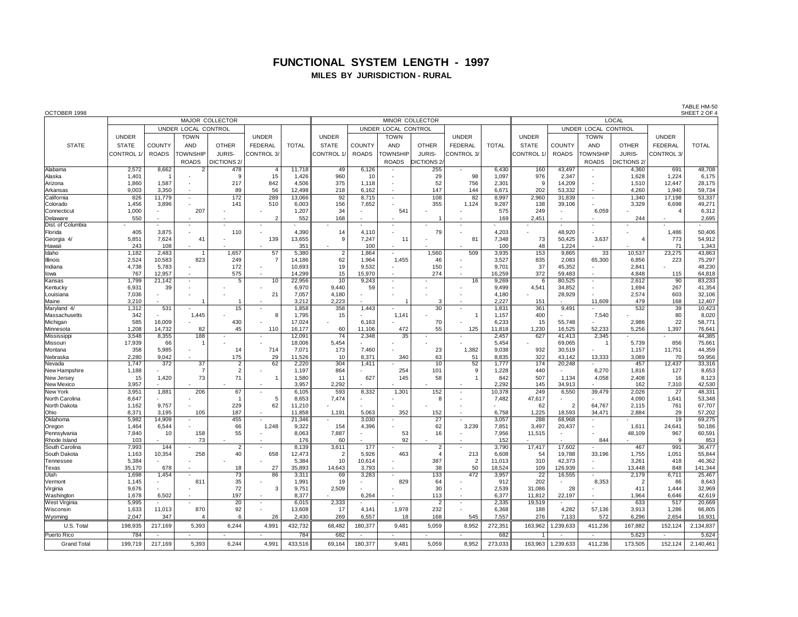# **FUNCTIONAL SYSTEM LENGTH - 1997**

### **MILES BY JURISDICTION - RURAL**

| OCTOBER 1998<br>SHEET 2 OF 4<br>MAJOR COLLECTOR<br>MINOR COLLECTOR |                     |              |                 |                       |                          |                  |                         |              |                     |                                  |                      |              |                 |                     |                 |                       |                        |              |  |  |
|--------------------------------------------------------------------|---------------------|--------------|-----------------|-----------------------|--------------------------|------------------|-------------------------|--------------|---------------------|----------------------------------|----------------------|--------------|-----------------|---------------------|-----------------|-----------------------|------------------------|--------------|--|--|
|                                                                    |                     |              |                 |                       |                          |                  |                         |              |                     |                                  |                      | LOCAL        |                 |                     |                 |                       |                        |              |  |  |
|                                                                    | UNDER LOCAL CONTROL |              |                 |                       |                          |                  |                         |              | UNDER LOCAL CONTROL |                                  |                      |              |                 | UNDER LOCAL CONTROL |                 |                       |                        |              |  |  |
|                                                                    | <b>UNDER</b>        |              | <b>TOWN</b>     |                       | <b>UNDER</b>             |                  | <b>UNDER</b>            |              | <b>TOWN</b>         |                                  | <b>UNDER</b>         |              | <b>UNDER</b>    |                     | <b>TOWN</b>     |                       | <b>UNDER</b>           |              |  |  |
|                                                                    |                     |              |                 |                       |                          |                  |                         |              |                     |                                  |                      |              |                 |                     |                 |                       |                        |              |  |  |
| <b>STATE</b>                                                       | <b>STATE</b>        | COUNTY       | <b>AND</b>      | <b>OTHER</b>          | <b>FEDERAL</b>           | <b>TOTAL</b>     | <b>STATE</b>            | COUNTY       | AND                 | <b>OTHER</b>                     | FEDERAL              | <b>TOTAL</b> | <b>STATE</b>    | COUNTY              | <b>AND</b>      | <b>OTHER</b>          | <b>FEDERAL</b>         | <b>TOTAL</b> |  |  |
|                                                                    | CONTROL 1           | <b>ROADS</b> | <b>TOWNSHIP</b> | JURIS-                | CONTROL <sub>3</sub>     |                  | CONTROL 1               | <b>ROADS</b> | <b>OWNSHIP</b>      | JURIS-                           | CONTROL <sub>3</sub> |              | <b>CONTROL1</b> | <b>ROADS</b>        | <b>TOWNSHIP</b> | <b>JURIS-</b>         | CONTROL <sub>3</sub> / |              |  |  |
|                                                                    |                     |              | <b>ROADS</b>    | DICTIONS <sub>2</sub> |                          |                  |                         |              | <b>ROADS</b>        | <b>DICTIONS 2</b>                |                      |              |                 |                     | <b>ROADS</b>    | DICTIONS <sub>2</sub> |                        |              |  |  |
| Alabama                                                            | 2,572               | 8,662        | $\overline{2}$  | 478                   | $\overline{4}$           | 11,718           | 49                      | 6,126        |                     | 255                              |                      | 6,430        | 160             | 43,497              |                 | 4,360                 | 691                    | 48,708       |  |  |
| Alaska                                                             | 1,401               |              |                 | $\mathbf{c}$          | 15                       | 1,426            | 960                     | 10           |                     | 29                               | 98                   | 1,097        | 976             | 2,347               |                 | 1,628                 | 1,224                  | 6,175        |  |  |
| Arizona                                                            | 1,860               | 1,587        |                 | 217                   | 842                      | 4,506            | 375                     | 1,118        |                     | 52                               | 756                  | 2,301        | 9               | 14,209              |                 | 1,510                 | 12,447                 | 28,175       |  |  |
| Arkansas                                                           | 9,003               | 3,350        |                 | 89                    | 56                       | 12,498           | 218                     | 6,162        |                     | 147                              | 144                  | 6,671        | 202             | 53,332              |                 | 4,260                 | 1,940                  | 59,734       |  |  |
| California                                                         | 826                 | 11.779       |                 | 172                   | 289                      | 13,066           | 92                      | 8,715        | ×,                  | 108                              | 82                   | 8,997        | 2,960           | 31,839              |                 | 1,340                 | 17.198                 | 53,337       |  |  |
|                                                                    |                     | 3,896        |                 | 141                   | 510                      | 6,003            | 156                     | 7,652        |                     | 355                              |                      | 9,287        | 138             | 39,106              |                 | 3,329                 | 6,698                  | 49,271       |  |  |
| Colorado                                                           | 1,456<br>1,000      |              | 207             |                       |                          | 1,207            | 34                      |              | 541                 |                                  | 1,124                | 575          | 249             |                     | 6.059           |                       | $\overline{4}$         |              |  |  |
| Connecticut                                                        |                     |              |                 |                       | $\mathcal{D}$            |                  |                         |              |                     |                                  |                      |              |                 |                     |                 |                       |                        | 6,312        |  |  |
| Delaware                                                           | 550                 |              |                 |                       |                          | 552              | 168                     |              |                     |                                  |                      | 169          | 2,451           |                     |                 | 244                   |                        | 2,695        |  |  |
| Dist. of Columbia                                                  |                     |              |                 |                       |                          |                  |                         |              |                     |                                  |                      |              |                 |                     |                 |                       |                        |              |  |  |
| Florida                                                            | 405                 | 3,875        |                 | 110                   |                          | 4,390            | 14                      | 4,110        |                     | 79                               |                      | 4,203        |                 | 48,920              |                 |                       | 1,486                  | 50,406       |  |  |
| Georgia 4/                                                         | 5,851               | 7,624        | 41              |                       | 139                      | 13,655           | -9                      | 7,247        | 11                  |                                  | 81                   | 7,348        | 73              | 50,425              | 3,637           | $\overline{4}$        | 773                    | 54,912       |  |  |
| Hawaii                                                             | 243                 | 108          |                 |                       |                          | 351              |                         | 100          |                     |                                  |                      | 100          | 48              | 1,224               |                 |                       | 71                     | 1,343        |  |  |
| Idaho                                                              | 1,182               | 2.483        | $\overline{1}$  | 1,657                 | 57                       | 5,380            | $\overline{2}$          | 1,864        | ×.                  | 1,560                            | 509                  | 3,935        | 153             | 9,865               | 33              | 10.537                | 23,275                 | 43,863       |  |  |
| Illinois                                                           | 2,524               | 10,583       | 823             | 249                   | 7                        | 14,186           | 62                      | 1,964        | 1,455               | 46                               |                      | 3.527        | 835             | 2,083               | 65,300          | 6.856                 | 223                    | 75,297       |  |  |
| Indiana                                                            | 4,738               | 5,783        |                 | 172                   |                          | 10,693           | 19                      | 9,532        |                     | 150                              |                      | 9,701        | 37              | 45,352              |                 | 2,841                 |                        | 48,230       |  |  |
| lowa                                                               | 767                 | 12,957       |                 | 575                   |                          | 14,299           | 15                      | 15.970       |                     | 274                              |                      | 16,259       | 372             | 59.483              |                 | 4.848                 | 115                    | 64,818       |  |  |
| Kansas                                                             | 1,799               | 21,142       | $\sim$          | $\overline{5}$        | 10                       | 22,956           | 10                      | 9,243        |                     |                                  | 16                   | 9,269        | 6               | 80,525              |                 | 2,612                 | 90                     | 83,233       |  |  |
| Kentucky                                                           | 6,931               | 39           |                 |                       |                          | 6,970            | 9,440                   | 59           |                     |                                  |                      | 9,499        | 4,541           | 34,852              |                 | 1,694                 | 267                    | 41,354       |  |  |
| Louisiana                                                          | 7,036               |              |                 |                       | 21                       | 7,057            | 4,180                   |              |                     |                                  |                      | 4,180        |                 | 28,929              |                 | 2,574                 | 603                    | 32,106       |  |  |
| Maine                                                              | 3,210               |              |                 |                       |                          | 3,212            | 2,223                   |              |                     | 3                                |                      | 2.227        | 151             |                     | 11,609          | 479                   | 168                    | 12,407       |  |  |
| Maryland 4/                                                        | 1,312               | 531          |                 | 15                    |                          | 1,858            | 358                     | 1,443        |                     | 30                               | ×,                   | 1,831        | 361             | 9,491               |                 | 532                   | 39                     | 10,423       |  |  |
| Massachusetts                                                      | 342                 |              | 1,445           |                       | 8                        | 1,795            | 15                      |              | 1,141               |                                  | $\overline{1}$       | 1,157        | 400             |                     | 7,540           |                       | 80                     | 8,020        |  |  |
| Michigan                                                           | 585                 | 16,009       |                 | 430                   |                          | 17,024           |                         | 6.163        |                     | 70                               |                      | 6,233        | 15              | 55.748              |                 | 2.986                 | 22                     | 58,771       |  |  |
| Minnesota                                                          | 1,208               | 14,732       | 82              | 45                    | 110                      | 16,177           | 60                      | 11.106       | 472                 | 55                               | 125                  | 11,818       | 1.230           | 16,525              | 52.233          | 5.256                 | 1,397                  | 76,641       |  |  |
| Mississipp                                                         | 3,548               | 8.355        | 188             |                       |                          | 12,091           | 74                      | 2,348        | 35                  |                                  |                      | 2,457        | 627             | 41,413              | 2,345           |                       |                        | 44,385       |  |  |
| Missouri                                                           | 17,939              | 66           |                 |                       |                          | 18,006           | 5,454                   |              |                     |                                  |                      | 5,454        |                 | 69,065              |                 | 5,739                 | 856                    | 75,661       |  |  |
| Montana                                                            | 358                 | 5.985        |                 | 14                    | 714                      | 7,071            | 173                     | 7.460        |                     | 23                               | 1.382                | 9,038        | 932             | 30.519              |                 | 1,157                 | 11,751                 | 44,359       |  |  |
| Nebraska                                                           | 2,280               | 9,042        |                 | 175                   | 29                       | 11,526           | 10                      | 8,371        | 340                 | 63                               | 51                   | 8,835        | 322             | 43,142              | 13,333          | 3,089                 | 70                     | 59,956       |  |  |
| Nevada                                                             | 1,747               | 372          | 37              | $\overline{2}$        | 62                       | 2,220            | 304                     | 1,411        |                     | 10                               | 52                   | 1,777        | 174             | 20,248              |                 | 457                   | 12,437                 | 33,316       |  |  |
| New Hampshire                                                      | 1,188               |              | $\overline{7}$  | $\overline{2}$        |                          | 1,197            | 864                     |              | 254                 | 101                              | 9                    | 1,228        | 440             |                     | 6,270           | 1,816                 | 127                    | 8,653        |  |  |
| New Jersey                                                         | 15                  | 1,420        | 73              | 71                    |                          | 1,580            | 11                      | 627          | 145                 | 58                               |                      | 842          | 507             | 1,134               | 4,058           | 2.408                 | 16                     | 8,123        |  |  |
| New Mexico                                                         | 3,957               |              |                 |                       |                          | 3,957            | 2,292                   |              |                     |                                  |                      | 2,292        | 145             | 34,913              |                 | 162                   | 7,310                  | 42,530       |  |  |
| <b>New York</b>                                                    | 3,951               | 1,881        | 206             | 67                    |                          | 6,105            | 593                     | 8,332        | 1,301               | 152                              | ×,                   | 10,378       | 249             | 6,550               | 39,479          | 2,026                 | 27                     | 48,331       |  |  |
| North Carolina                                                     | 8,647               |              |                 |                       | 5                        | 8,653            | 7,474                   |              |                     | $\mathbf{R}$                     |                      | 7,482        | 47.617          |                     |                 | 4.090                 | 1,641                  | 53,348       |  |  |
| North Dakota                                                       | 1,162               | 9.757        |                 | 229                   | 62                       |                  |                         |              |                     |                                  |                      |              | 62              | $\overline{2}$      | 64.767          | 2.115                 | 761                    | 67,707       |  |  |
| Ohio                                                               | 8.371               | 3,195        | 105             | 187                   |                          | 11,210<br>11,858 | 1,191                   | 5.063        | 352                 | 152                              |                      | 6,758        | 1,225           | 18,593              | 34,471          | 2.884                 | 29                     | 57,202       |  |  |
| Oklahoma                                                           | 5,982               | 14,909       |                 | 455                   |                          | 21,346           | ٠                       | 3,030        |                     | $\overline{27}$                  |                      | 3,057        | 288             | 68,968              |                 | ×.                    | 19                     | 69,275       |  |  |
|                                                                    |                     |              |                 |                       | 1.248                    |                  |                         |              |                     |                                  |                      |              |                 |                     |                 |                       |                        |              |  |  |
| Oregon                                                             | 1,464               | 6,544        |                 | 66<br>55              |                          | 9,322            | 154<br>7,887            | 4,396        | 53                  | 62                               | 3.239                | 7,851        | 3,497           | 20,437              |                 | 1.611                 | 24,641                 | 50,186       |  |  |
| Pennsylvania                                                       | 7,840               | 10           | 158             |                       |                          | 8,063            |                         |              |                     | 16                               |                      | 7,956        | 11,515          |                     |                 | 48,109                | 967                    | 60,591       |  |  |
| Rhode Island                                                       | 103                 |              | 73              |                       |                          | 176              | 60                      |              | 92                  |                                  |                      | 152          |                 |                     | 844             |                       | 9                      | 853          |  |  |
| South Carolina                                                     | 7,993               | 144          |                 | $\overline{2}$        |                          | 8,139            | 3,611<br>$\overline{2}$ | 177          | 463                 | $\overline{2}$<br>$\overline{A}$ |                      | 3,790        | 17,417          | 17,602              |                 | 467                   | 991                    | 36,477       |  |  |
| South Dakota                                                       | 1,163               | 10,354       | 258             | 40                    | 658                      | 12,473           |                         | 5,926        |                     |                                  | 213                  | 6,608        | 54              | 19,788              | 33,196          | 1,755                 | 1,051                  | 55,844       |  |  |
| Tennessee                                                          | 5.384               |              |                 |                       |                          | 5.384            | 10                      | 10.614       |                     | 387                              | $\overline{2}$       | 11.013       | 310             | 42.373              |                 | 3.261                 | 418                    | 46,362       |  |  |
| Texas                                                              | 35,170              | 678          |                 | 18                    | 27                       | 35,893           | 14,643                  | 3,793        |                     | 38                               | 50                   | 18,524       | 109             | 126,939             |                 | 13,448                | 848                    | 141,344      |  |  |
| Utah                                                               | 1,698               | 1.454        |                 | 73                    | 86                       | 3,311            | 69                      | 3.283        |                     | 133                              | 472                  | 3,957        | 22              | 16,555              |                 | 2,179                 | 6.711                  | 25,467       |  |  |
| Vermont                                                            | 1,145               |              | 811             | 35                    |                          | 1,991            | 19                      |              | 829                 | 64                               |                      | 912          | 202             |                     | 8.353           | $\overline{2}$        | 86                     | 8,643        |  |  |
| Virginia                                                           | 9,676               |              |                 | 72                    | 3                        | 9,751            | 2,509                   |              |                     | 30                               |                      | 2,539        | 31,086          | 28                  |                 | 411                   | 1,444                  | 32,969       |  |  |
| Washington                                                         | 1,678               | 6,502        |                 | 197                   | $\overline{\phantom{a}}$ | 8,377            |                         | 6,264        |                     | 113                              | ×                    | 6,377        | 11,812          | 22,197              |                 | 1,964                 | 6,646                  | 42,619       |  |  |
| <b>West Virginia</b>                                               | 5,995               |              |                 | 20                    |                          | 6,015            | 2,333                   |              |                     | 2                                | ×,                   | 2,335        | 19,519          |                     |                 | 633                   | 517                    | 20,669       |  |  |
| Wisconsir                                                          | 1,633               | 11,013       | 870             | 92                    |                          | 13,608           | 17                      | 4,141        | 1,978               | 232                              |                      | 6,368        | 188             | 4,282               | 57,136          | 3,913                 | 1,286                  | 66,805       |  |  |
| Wyoming                                                            | 2.047               | 347          | $\overline{A}$  | 6                     | 26                       | 2.430            | 269                     | 6.557        | 18                  | 168                              | 545                  | 7.557        | 276             | 7,133               | 572             | 6.296                 | 2.654                  | 16,931       |  |  |
| U.S. Total                                                         | 198.935             | 217.169      | 5.393           | 6,244                 | 4,991                    | 432,732          | 68,482                  | 180,377      | 9.481               | 5.059                            | 8,952                | 272.351      | 163.962         | .239.633            | 411,236         | 167.882               | 152.124                | 2,134,837    |  |  |
| <b>Puerto Rico</b>                                                 | 784                 | $\sim$       |                 |                       |                          | 784              | 682                     | ×            |                     |                                  |                      | 682          |                 |                     |                 | 5,623                 |                        | 5,624        |  |  |
|                                                                    | 199,719             | 217,169      | 5,393           | 6,244                 | 4,991                    | 433,516          | 69,164                  | 180,377      | 9,481               | 5,059                            | 8,952                | 273,033      | 163,963         | 1,239,633           | 411,236         | 173,505               | 152,124                | 2,140,461    |  |  |
| <b>Grand Total</b>                                                 |                     |              |                 |                       |                          |                  |                         |              |                     |                                  |                      |              |                 |                     |                 |                       |                        |              |  |  |

TABLE HM-50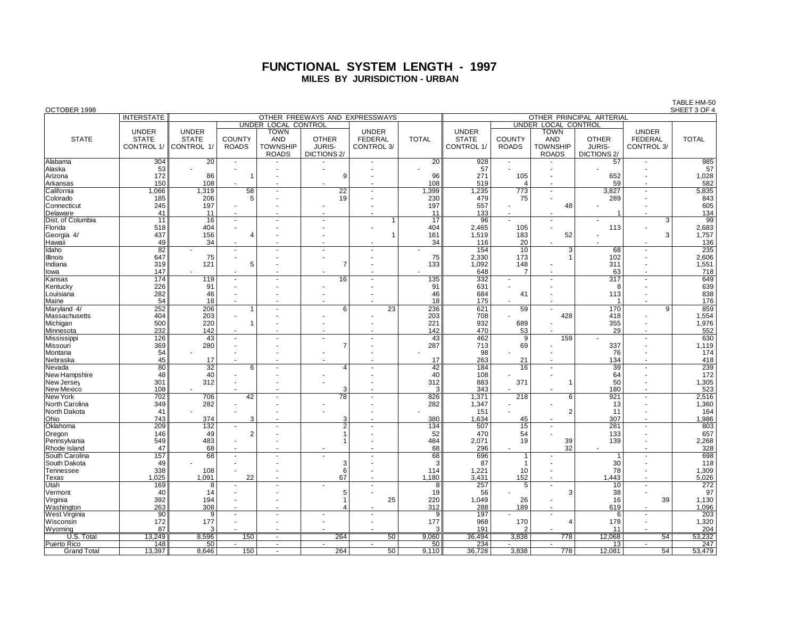## **FUNCTIONAL SYSTEM LENGTH - 1997 MILES BY JURISDICTION - URBAN**

| OCTOBER 1998         |                   |                                                            |                          |                     |                    |                |              |                   |                       |                          |                         |                          | SHEET 3 OF 4 |
|----------------------|-------------------|------------------------------------------------------------|--------------------------|---------------------|--------------------|----------------|--------------|-------------------|-----------------------|--------------------------|-------------------------|--------------------------|--------------|
|                      | <b>INTERSTATE</b> | OTHER FREEWAYS AND EXPRESSWAYS<br>OTHER PRINCIPAL ARTERIAL |                          |                     |                    |                |              |                   |                       |                          |                         |                          |              |
|                      |                   |                                                            |                          | UNDER LOCAL CONTROL |                    |                |              |                   |                       | UNDER LOCAL CONTROL      |                         |                          |              |
|                      | <b>UNDER</b>      | <b>UNDER</b>                                               |                          | <b>TOWN</b>         |                    | <b>UNDER</b>   |              | <b>UNDER</b>      |                       | <b>TOWN</b>              |                         | <b>UNDER</b>             |              |
| <b>STATE</b>         | <b>STATE</b>      | <b>STATE</b>                                               | <b>COUNTY</b>            | <b>AND</b>          | <b>OTHER</b>       | <b>FEDERAL</b> | <b>TOTAL</b> | <b>STATE</b>      | <b>COUNTY</b>         | <b>AND</b>               | <b>OTHER</b>            | <b>FEDERAL</b>           | <b>TOTAL</b> |
|                      |                   |                                                            |                          |                     |                    |                |              |                   |                       |                          |                         |                          |              |
|                      | CONTROL 1/        | CONTROL 1/                                                 | <b>ROADS</b>             | <b>TOWNSHIP</b>     | <b>JURIS-</b>      | CONTROL 3/     |              | <b>CONTROL 1/</b> | <b>ROADS</b>          | <b>TOWNSHIP</b>          | <b>JURIS-</b>           | CONTROL 3/               |              |
|                      |                   |                                                            |                          | <b>ROADS</b>        | <b>DICTIONS 2/</b> |                |              |                   |                       | <b>ROADS</b>             | DICTIONS <sub>2</sub> / |                          |              |
| Alabama              | 304               | 20                                                         |                          |                     |                    |                | 20           | 928               |                       |                          | 57                      |                          | 985          |
| Alaska               | 53                |                                                            |                          |                     |                    |                |              | 57                |                       |                          |                         |                          | 57           |
| Arizona              | 172               | 86                                                         | $\overline{1}$           |                     | 9                  |                | 96           | 271               | 105                   |                          | 652                     |                          | 1,028        |
| Arkansas             | 150               | 108                                                        |                          |                     |                    |                | 108          | 519               | $\boldsymbol{\Delta}$ |                          | 59                      |                          | 582          |
| California           | 1,066             | 1,319                                                      | 58                       |                     | $\overline{22}$    |                | 1,399        | 1,235             | 773                   | $\overline{\phantom{a}}$ | 3,827                   |                          | 5,835        |
|                      |                   |                                                            | 5                        |                     | 19                 |                |              |                   |                       |                          |                         |                          | 843          |
| Colorado             | 185               | 206                                                        |                          |                     |                    |                | 230          | 479               | 75                    |                          | 289                     |                          |              |
| Connecticut          | 245               | 197                                                        |                          |                     |                    |                | 197          | 557               |                       | 48                       |                         |                          | 605          |
| Delaware             | 41                | 11                                                         |                          |                     |                    |                | 11           | 133               |                       |                          | $\overline{\mathbf{1}}$ |                          | 134          |
| Dist. of Columbia    | 11                | 16                                                         | $\blacksquare$           |                     |                    | 1              | 17           | 96                |                       |                          |                         | 3                        | 99           |
| Florida              | 518               | 404                                                        | ٠                        |                     |                    |                | 404          | 2,465             | 105                   |                          | 113                     |                          | 2,683        |
| Georgia 4/           | 437               | 156                                                        | Δ                        |                     |                    |                | 161          | 1,519             | 183                   | 52                       |                         | 3                        | 1,757        |
| Hawaii               | 49                | 34                                                         | $\blacksquare$           |                     |                    |                | 34           | 116               | 20                    |                          |                         |                          | 136          |
| Idaho                | 82                |                                                            | $\overline{\phantom{a}}$ |                     |                    |                |              | 154               | 10                    | 3                        | 68                      |                          | 235          |
| Illinois             | 647               | 75                                                         |                          |                     |                    |                | 75           | 2,330             | 173                   |                          | 102                     |                          | 2,606        |
|                      |                   |                                                            | 5                        |                     |                    |                |              |                   | 148                   |                          |                         |                          |              |
| Indiana              | 319               | 121                                                        |                          |                     |                    |                | 133          | 1.092             |                       |                          | 311                     |                          | 1,551        |
| lowa                 | 147               |                                                            |                          |                     |                    |                |              | 648               |                       | ÷.                       | 63                      |                          | 718          |
| Kansas               | 174               | 119                                                        | $\sim$                   |                     | 16                 |                | 135          | 332               |                       | $\sim$                   | 317                     |                          | 649          |
| Kentucky             | 226               | 91                                                         |                          |                     |                    |                | 91           | 631               |                       |                          | 8                       |                          | 639          |
| Louisiana            | 282               | 46                                                         |                          |                     |                    |                | 46           | 684               | 41                    |                          | 113                     |                          | 838          |
| Maine                | 54                | 18                                                         |                          |                     |                    |                | 18           | 175               |                       |                          |                         |                          | 176          |
| Maryland 4/          | 252               | 206                                                        | $\mathbf{1}$             |                     | 6                  | 23             | 236          | 621               | 59                    |                          | 170                     | 9                        | 859          |
| Massachusetts        | 404               | 203                                                        | $\blacksquare$           |                     |                    |                | 203          | 708               |                       | 428                      | 418                     |                          | 1,554        |
| Michigan             | 500               | 220                                                        | $\mathbf 1$              |                     |                    |                | 221          | 932               | 689                   |                          | 355                     |                          | 1,976        |
| Minnesota            | 232               | 142                                                        |                          |                     |                    |                | 142          | 470               | 53                    |                          | 29                      |                          | 552          |
| Mississippi          | 126               | 43                                                         | $\blacksquare$           |                     |                    |                | 43           | 462               | 9                     | 159                      | $\blacksquare$          | $\sim$                   | 630          |
| Missouri             | 369               | 280                                                        |                          |                     | $\overline{7}$     |                | 287          | 713               | 69                    |                          | 337                     |                          | 1,119        |
| Montana              | 54                |                                                            |                          |                     |                    |                |              | 98                |                       |                          | 76                      |                          | 174          |
|                      | 45                | 17                                                         |                          |                     |                    |                | 17           | 263               | 21                    |                          | 134                     |                          | 418          |
| Nebraska             |                   |                                                            |                          |                     | Δ                  |                |              |                   |                       |                          |                         |                          |              |
| Nevada               | 80                | $\overline{32}$                                            | 6                        |                     |                    |                | 42           | 184               | 16                    | $\sim$                   | 39                      |                          | 239          |
| New Hampshire        | 48                | 40                                                         |                          |                     |                    |                | 40           | 108               |                       |                          | 64                      |                          | 172          |
| New Jersey           | 301               | 312                                                        |                          |                     |                    |                | 312          | 883               | 371                   |                          | 50                      |                          | 1,305        |
| New Mexico           | 108               |                                                            |                          |                     | 3                  |                | 3            | 343               |                       |                          | 180                     |                          | 523          |
| New York             | 702               | 706                                                        | 42                       |                     | 78                 |                | 826          | 1,371             | 218                   | 6                        | 921                     |                          | 2,516        |
| North Carolina       | 349               | 282                                                        |                          |                     |                    |                | 282          | 1,347             |                       |                          | 13                      |                          | 1,360        |
| North Dakota         | 41                |                                                            |                          |                     |                    |                |              | 151               |                       | $\overline{2}$           | 11                      |                          | 164          |
| Ohio                 | 743               | 374                                                        | 3                        |                     | 3                  |                | 380          | 1,634             | 45                    |                          | 307                     |                          | 1,986        |
| Oklahoma             | 209               | 132                                                        | $\blacksquare$           |                     | 2                  |                | 134          | 507               | 15                    | $\overline{\phantom{a}}$ | 281                     |                          | 803          |
| Oregon               | 146               | 49                                                         | $\overline{2}$           |                     |                    |                | 52           | 470               | 54                    |                          | 133                     |                          | 657          |
| Pennsylvania         | 549               | 483                                                        |                          |                     |                    |                | 484          | 2,071             | 19                    | 39                       | 139                     |                          | 2,268        |
| Rhode Island         | 47                | 68                                                         | $\overline{a}$           |                     |                    |                | 68           | 296               |                       | 32                       |                         |                          | 328          |
| South Carolina       | 157               | 68                                                         |                          |                     |                    |                | 68           | 696               | 1                     |                          |                         |                          | 698          |
| South Dakota         | 49                |                                                            |                          |                     | 3                  |                | 3            | 87                | 1                     |                          | 30                      |                          | 118          |
|                      |                   |                                                            |                          |                     |                    |                |              |                   |                       |                          |                         |                          |              |
| Tennessee            | 338               | 108                                                        |                          |                     | 6                  |                | 114          | 1,221             | 10                    |                          | 78                      |                          | 1,309        |
| Texas                | 1,025             | 1,091                                                      | 22                       |                     | 67                 |                | 1,180        | 3,431             | 152                   | $\blacksquare$           | 1,443                   |                          | 5,026        |
| Utah                 | 169               | 8                                                          | $\sim$                   |                     |                    | $\sim$         | 8            | 257               | 5                     | $\sim$                   | 10                      | $\sim$                   | 272          |
| Vermont              | 40                | 14                                                         |                          |                     | 5                  |                | 19           | 56                |                       | 3                        | 38                      |                          | 97           |
| Virginia             | 392               | 194                                                        |                          |                     |                    | 25             | 220          | 1,049             | 26                    | $\sim$                   | 16                      | 39                       | 1,130        |
| Washington           | 263               | 308                                                        |                          |                     |                    |                | 312          | 288               | 189                   |                          | 619                     |                          | 1,096        |
| <b>West Virginia</b> | $\overline{90}$   | 9                                                          |                          |                     |                    |                | 9            | 197               |                       |                          | 6                       |                          | 203          |
| Wisconsin            | 172               | 177                                                        |                          |                     |                    |                | 177          | 968               | 170                   | Δ                        | 178                     |                          | 1,320        |
| Wvomina              | 87                | З                                                          |                          |                     |                    |                |              | 191               | 2                     |                          | 11                      |                          | 204          |
| U.S. Total           | 13.249            | 8,596                                                      | 150                      |                     | 264                | 50             | 9,060        | 36,494            | 3,838                 | 778                      | 12,068                  | 54                       | 53,232       |
| Puerto Rico          | 148               | 50                                                         |                          | $\sim$              | $\sim$             | $\sim$         | 50           | 234               |                       | $\sim$                   | 13                      | $\overline{\phantom{a}}$ | 247          |
| <b>Grand Total</b>   | 13,397            | 8,646                                                      | 150                      |                     | 264                | 50             | 9,110        | 36,728            | 3,838                 | 778                      | 12,081                  | 54                       | 53,479       |
|                      |                   |                                                            |                          |                     |                    |                |              |                   |                       |                          |                         |                          |              |

TABLE HM-50<br>SHEET 3 OF 4